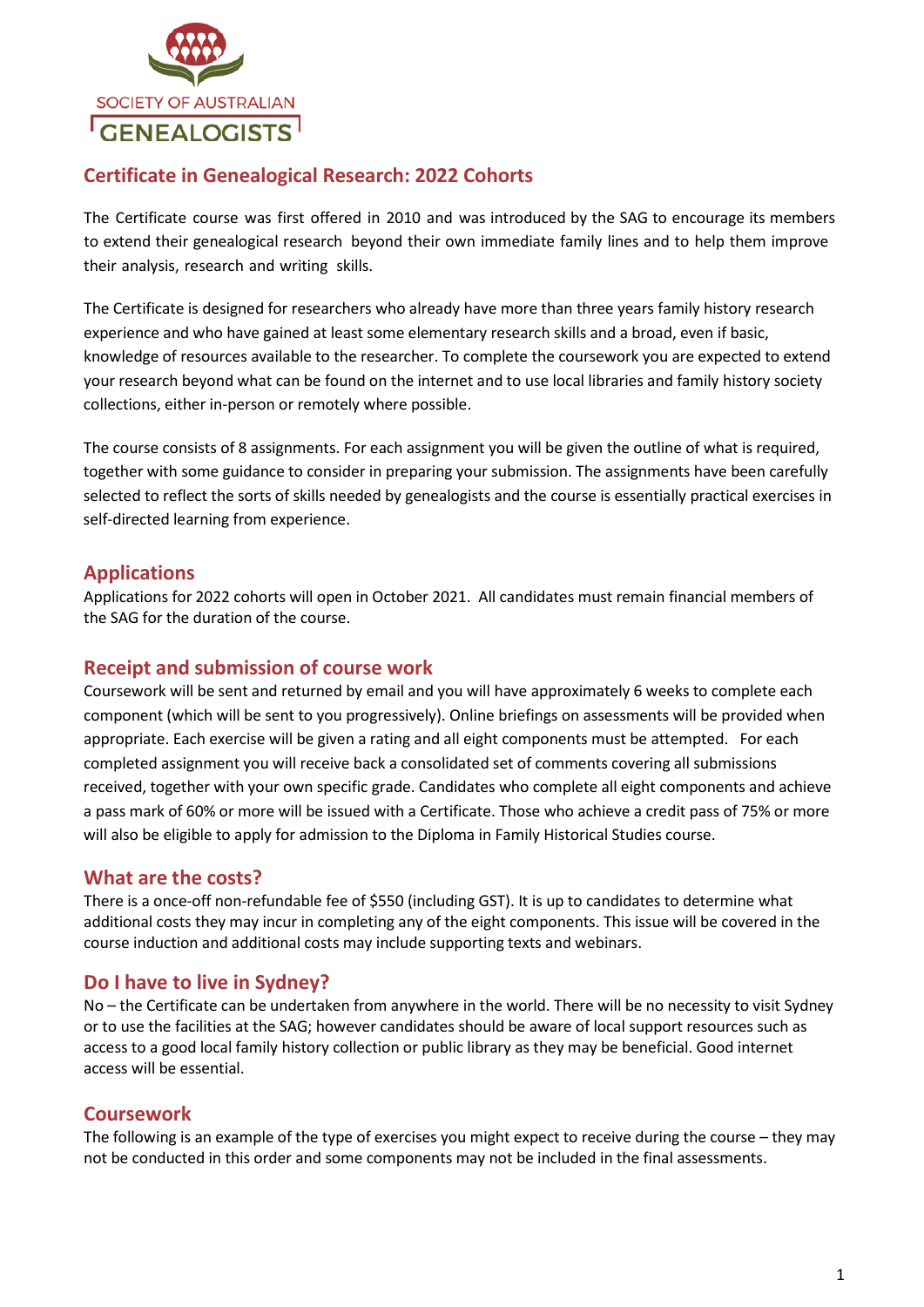

# **Certificate in Genealogical Research: 2022 Cohorts**

The Certificate course was first offered in 2010 and was introduced by the SAG to encourage its members to extend their genealogical research beyond their own immediate family lines and to help them improve their analysis, research and writing skills.

The Certificate is designed for researchers who already have more than three years family history research experience and who have gained at least some elementary research skills and a broad, even if basic, knowledge of resources available to the researcher. To complete the coursework you are expected to extend your research beyond what can be found on the internet and to use local libraries and family history society collections, either in-person or remotely where possible.

The course consists of 8 assignments. For each assignment you will be given the outline of what is required, together with some guidance to consider in preparing your submission. The assignments have been carefully selected to reflect the sorts of skills needed by genealogists and the course is essentially practical exercises in self-directed learning from experience.

#### **Applications**

Applications for 2022 cohorts will open in October 2021. All candidates must remain financial members of the SAG for the duration of the course.

### **Receipt and submission of course work**

Coursework will be sent and returned by email and you will have approximately 6 weeks to complete each component (which will be sent to you progressively). Online briefings on assessments will be provided when appropriate. Each exercise will be given a rating and all eight components must be attempted. For each completed assignment you will receive back a consolidated set of comments covering all submissions received, together with your own specific grade. Candidates who complete all eight components and achieve a pass mark of 60% or more will be issued with a Certificate. Those who achieve a credit pass of 75% or more will also be eligible to apply for admission to the Diploma in Family Historical Studies course.

#### **What are the costs?**

There is a once-off non-refundable fee of \$550 (including GST). It is up to candidates to determine what additional costs they may incur in completing any of the eight components. This issue will be covered in the course induction and additional costs may include supporting texts and webinars.

### **Do I have to live in Sydney?**

No – the Certificate can be undertaken from anywhere in the world. There will be no necessity to visit Sydney or to use the facilities at the SAG; however candidates should be aware of local support resources such as access to a good local family history collection or public library as they may be beneficial. Good internet access will be essential.

### **Coursework**

The following is an example of the type of exercises you might expect to receive during the course – they may not be conducted in this order and some components may not be included in the final assessments.